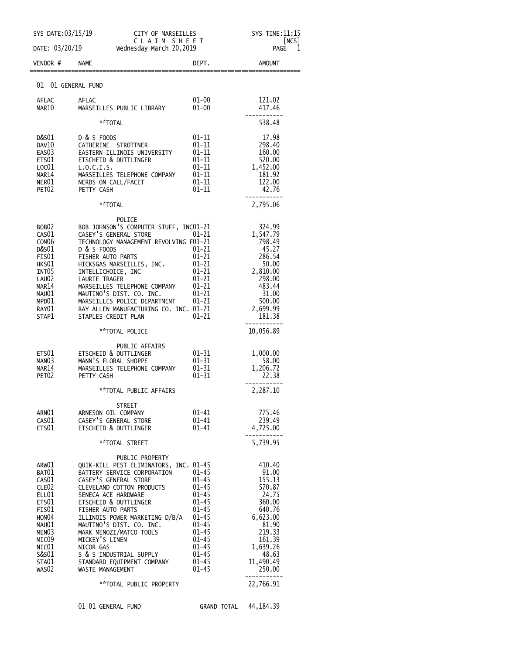| SYS DATE: 03/15/19<br>DATE: 03/20/19                                                                                                                                    | CITY OF MARSEILLES<br>CLAIM SHEET<br>Wednesday March 20,2019                                                                                                                                                                                                                                                                                                                                                                    |                                                                                                                                                                                    | SYS TIME:11:15<br>[NCS]<br>1<br>PAGE                                                                                                                  |
|-------------------------------------------------------------------------------------------------------------------------------------------------------------------------|---------------------------------------------------------------------------------------------------------------------------------------------------------------------------------------------------------------------------------------------------------------------------------------------------------------------------------------------------------------------------------------------------------------------------------|------------------------------------------------------------------------------------------------------------------------------------------------------------------------------------|-------------------------------------------------------------------------------------------------------------------------------------------------------|
| VENDOR#                                                                                                                                                                 | <b>NAME</b>                                                                                                                                                                                                                                                                                                                                                                                                                     | DEPT.                                                                                                                                                                              | <b>AMOUNT</b>                                                                                                                                         |
| 01                                                                                                                                                                      | 01 GENERAL FUND                                                                                                                                                                                                                                                                                                                                                                                                                 |                                                                                                                                                                                    |                                                                                                                                                       |
| AFLAC                                                                                                                                                                   | AFLAC                                                                                                                                                                                                                                                                                                                                                                                                                           | $01 - 00$                                                                                                                                                                          | 121.02                                                                                                                                                |
| MAR10                                                                                                                                                                   | MARSEILLES PUBLIC LIBRARY                                                                                                                                                                                                                                                                                                                                                                                                       | $01 - 00$                                                                                                                                                                          | 417.46                                                                                                                                                |
|                                                                                                                                                                         | **TOTAL                                                                                                                                                                                                                                                                                                                                                                                                                         |                                                                                                                                                                                    | 538.48                                                                                                                                                |
| D&S01<br>DAV10<br>EAS <sub>0</sub> 3<br>ETS01<br>LOC01<br>MAR14<br>NER01<br>PET <sub>02</sub>                                                                           | D & S FOODS<br>CATHERINE STROTTNER<br>EASTERN ILLINOIS UNIVERSITY<br>ETSCHEID & DUTTLINGER<br>L.0.C.I.S.<br>MARSEILLES TELEPHONE COMPANY<br>NERDS ON CALL/FACET<br>PETTY CASH                                                                                                                                                                                                                                                   | $01 - 11$<br>$01 - 11$<br>$01 - 11$<br>01-11<br>$01 - 11$<br>01-11<br>$01 - 11$<br>$01 - 11$                                                                                       | 17.98<br>298.40<br>160.00<br>520.00<br>1,452.00<br>181.92<br>122.00<br>42.76                                                                          |
|                                                                                                                                                                         | **TOTAL                                                                                                                                                                                                                                                                                                                                                                                                                         |                                                                                                                                                                                    | 2,795.06                                                                                                                                              |
| BOB <sub>02</sub><br>CAS01<br>COM <sub>06</sub><br>D&S01<br>FIS01<br>HKS01<br>INT <sub>05</sub><br>LAU02<br>MAR14<br>MAU01<br>MPD01<br>RAY01<br>STAP1                   | POLICE<br>BOB JOHNSON'S COMPUTER STUFF, INC01-21<br>CASEY'S GENERAL STORE<br>TECHNOLOGY MANAGEMENT REVOLVING F01-21<br>D & S FOODS<br>FISHER AUTO PARTS<br>HICKSGAS MARSEILLES, INC.<br>INTELLICHOICE, INC<br><b>LAURIE TRAGER</b><br>MARSEILLES TELEPHONE COMPANY<br>MAUTINO'S DIST. CO. INC.<br>MARSEILLES POLICE DEPARTMENT<br>RAY ALLEN MANUFACTURING CO. INC. 01-21<br>STAPLES CREDIT PLAN                                 | $01 - 21$<br>01-21<br>$01 - 21$<br>01-21<br>$01 - 21$<br>01-21<br>$01 - 21$<br>$01 - 21$<br>$01 - 21$<br>01-21                                                                     | 324.99<br>1,547.79<br>798.49<br>45.27<br>286.54<br>50.00<br>2,810.00<br>298.00<br>483.44<br>31.00<br>500.00<br>2,699.99<br>181.38                     |
|                                                                                                                                                                         | **TOTAL POLICE                                                                                                                                                                                                                                                                                                                                                                                                                  |                                                                                                                                                                                    | 10,056.89                                                                                                                                             |
| ETS01<br>MANO3<br>MAR14<br>PET <sub>02</sub>                                                                                                                            | PUBLIC AFFAIRS<br>ETSCHEID & DUTTLINGER<br>MANN'S FLORAL SHOPPE<br>MARSEILLES TELEPHONE COMPANY<br>PETTY CASH                                                                                                                                                                                                                                                                                                                   | $01 - 31$<br>$01 - 31$<br>$01 - 31$<br>$01 - 31$                                                                                                                                   | 1,000.00<br>58.00<br>1,206.72<br>22.38                                                                                                                |
|                                                                                                                                                                         | **TOTAL PUBLIC AFFAIRS                                                                                                                                                                                                                                                                                                                                                                                                          |                                                                                                                                                                                    | 2,287.10                                                                                                                                              |
| ARNO1<br>CAS01<br>ETS01                                                                                                                                                 | STREET<br>ARNESON OIL COMPANY<br>CASEY'S GENERAL STORE<br>ETSCHEID & DUTTLINGER                                                                                                                                                                                                                                                                                                                                                 | $01 - 41$<br>01-41<br>$01 - 41$                                                                                                                                                    | 775.46<br>239.49<br>4,725.00                                                                                                                          |
|                                                                                                                                                                         | **TOTAL STREET                                                                                                                                                                                                                                                                                                                                                                                                                  |                                                                                                                                                                                    | 5,739.95                                                                                                                                              |
| ARW01<br>BAT01<br>CAS <sub>01</sub><br>CLE <sub>02</sub><br>ELL01<br>ETS01<br>FIS01<br>HOM04<br>MAU01<br>MEN <sub>03</sub><br>MICO9<br>NIC01<br>s&s01<br>STA01<br>WAS02 | PUBLIC PROPERTY<br>QUIK-KILL PEST ELIMINATORS, INC. 01-45<br>BATTERY SERVICE CORPORATION<br>CASEY'S GENERAL STORE<br><b>CLEVELAND COTTON PRODUCTS</b><br>SENECA ACE HARDWARE<br>ETSCHEID & DUTTLINGER<br>FISHER AUTO PARTS<br>ILLINOIS POWER MARKETING D/B/A<br>MAUTINO'S DIST. CO. INC.<br>MARK MENOZI/MATCO TOOLS<br>MICKEY'S LINEN<br>NICOR GAS<br>S & S INDUSTRIAL SUPPLY<br>STANDARD EQUIPMENT COMPANY<br>WASTE MANAGEMENT | $01 - 45$<br>$01 - 45$<br>$01 - 45$<br>$01 - 45$<br>$01 - 45$<br>$01 - 45$<br>$01 - 45$<br>$01 - 45$<br>$01 - 45$<br>$01 - 45$<br>$01 - 45$<br>$01 - 45$<br>$01 - 45$<br>$01 - 45$ | 410.40<br>91.00<br>155.13<br>570.87<br>24.75<br>360.00<br>640.76<br>6,623.00<br>81.90<br>219.33<br>161.39<br>1,639.26<br>48.63<br>11,490.49<br>250.00 |
|                                                                                                                                                                         | **TOTAL PUBLIC PROPERTY                                                                                                                                                                                                                                                                                                                                                                                                         |                                                                                                                                                                                    | 22,766.91                                                                                                                                             |
|                                                                                                                                                                         | 01 01 GENERAL FUND                                                                                                                                                                                                                                                                                                                                                                                                              | GRAND TOTAL                                                                                                                                                                        | 44, 184. 39                                                                                                                                           |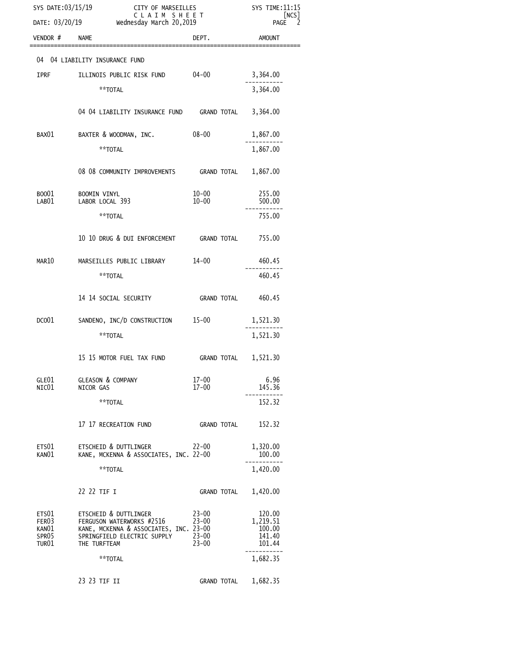| SYS DATE:03/15/19<br>DATE: 03/20/19       |                                                                                                                                             | CITY OF MARSEILLES<br>CLAIM SHEET<br>Wednesday March 20,2019 |                                                  |
|-------------------------------------------|---------------------------------------------------------------------------------------------------------------------------------------------|--------------------------------------------------------------|--------------------------------------------------|
| VENDOR #                                  | <b>NAME</b>                                                                                                                                 | DEPT.                                                        | <b>AMOUNT</b>                                    |
|                                           | 04 04 LIABILITY INSURANCE FUND                                                                                                              |                                                              |                                                  |
| <b>IPRF</b>                               | ILLINOIS PUBLIC RISK FUND                                                                                                                   | $04 - 00$                                                    | 3,364.00                                         |
|                                           | **TOTAL                                                                                                                                     |                                                              | 3,364.00                                         |
|                                           | 04 04 LIABILITY INSURANCE FUND GRAND TOTAL                                                                                                  |                                                              | 3,364.00                                         |
| BAX01                                     | BAXTER & WOODMAN, INC.                                                                                                                      | $08 - 00$                                                    | 1,867.00                                         |
|                                           | **TOTAL                                                                                                                                     |                                                              | 1,867.00                                         |
|                                           | 08 08 COMMUNITY IMPROVEMENTS GRAND TOTAL                                                                                                    |                                                              | 1,867.00                                         |
| B0001<br>LAB01                            | <b>BOOMIN VINYL</b><br>LABOR LOCAL 393                                                                                                      | $10 - 00$<br>$10 - 00$                                       | 255.00<br>500.00                                 |
|                                           | **TOTAL                                                                                                                                     |                                                              | 755.00                                           |
|                                           |                                                                                                                                             |                                                              |                                                  |
|                                           | 10 10 DRUG & DUI ENFORCEMENT GRAND TOTAL                                                                                                    |                                                              | 755.00                                           |
| MAR10                                     | MARSEILLES PUBLIC LIBRARY                                                                                                                   | $14 - 00$                                                    | 460.45                                           |
|                                           | **TOTAL                                                                                                                                     |                                                              | 460.45                                           |
|                                           | 14 14 SOCIAL SECURITY                                                                                                                       | GRAND TOTAL                                                  | 460.45                                           |
| DCO <sub>01</sub>                         | SANDENO, INC/D CONSTRUCTION 15-00                                                                                                           |                                                              | 1,521.30                                         |
|                                           | **TOTAL                                                                                                                                     |                                                              | 1,521.30                                         |
|                                           | 15 15 MOTOR FUEL TAX FUND                                                                                                                   | GRAND TOTAL                                                  | 1,521.30                                         |
| GLE01<br>NIC01                            | <b>GLEASON &amp; COMPANY</b>                                                                                                                | $17 - 00$<br>$17 - 00$                                       | 6.96                                             |
|                                           | NICOR GAS<br>**TOTAL                                                                                                                        |                                                              | 145.36<br>152.32                                 |
|                                           |                                                                                                                                             |                                                              |                                                  |
|                                           | 17 17 RECREATION FUND                                                                                                                       | <b>GRAND TOTAL</b>                                           | 152.32                                           |
| ETS01<br>KANO1                            | ETSCHEID & DUTTLINGER<br>KANE, MCKENNA & ASSOCIATES, INC. 22-00                                                                             | $22 - 00$                                                    | 1,320.00<br>100.00                               |
|                                           | **TOTAL                                                                                                                                     |                                                              | 1,420.00                                         |
|                                           | 22 22 TIF I                                                                                                                                 | GRAND TOTAL                                                  | 1,420.00                                         |
| ETS01<br>FER03<br>KANO1<br>SPR05<br>TUR01 | ETSCHEID & DUTTLINGER<br>FERGUSON WATERWORKS #2516<br>KANE, MCKENNA & ASSOCIATES, INC. 23-00<br>SPRINGFIELD ELECTRIC SUPPLY<br>THE TURFTEAM | $23 - 00$<br>$23 - 00$<br>$23 - 00$<br>$23 - 00$             | 120.00<br>1,219.51<br>100.00<br>141.40<br>101.44 |
|                                           | **TOTAL                                                                                                                                     |                                                              | 1,682.35                                         |
|                                           | 23 23 TIF II                                                                                                                                | <b>GRAND TOTAL</b>                                           | 1,682.35                                         |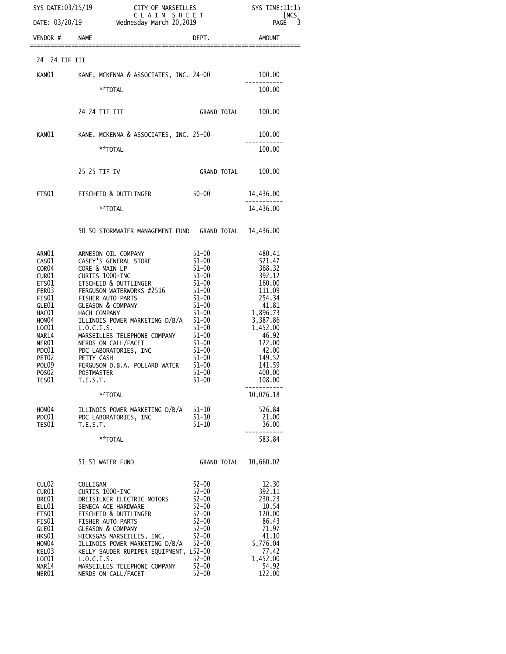| SYS DATE:03/15/19                                                                                                                                                                                                             |                                                                                                       | DATE: $03/20/19$ Wednesday March 20,2019                                                                                                                                                                                                                                                                                                                                                                  | CITY OF MARSEILLES<br>C L A I M  S H E E T<br>nesday March 20,2019                                                                                                                                                                                            | SYS TIME: 11:15<br>[NCS]<br>PAGE 3                                                                                                                                                                                                     |
|-------------------------------------------------------------------------------------------------------------------------------------------------------------------------------------------------------------------------------|-------------------------------------------------------------------------------------------------------|-----------------------------------------------------------------------------------------------------------------------------------------------------------------------------------------------------------------------------------------------------------------------------------------------------------------------------------------------------------------------------------------------------------|---------------------------------------------------------------------------------------------------------------------------------------------------------------------------------------------------------------------------------------------------------------|----------------------------------------------------------------------------------------------------------------------------------------------------------------------------------------------------------------------------------------|
| VENDOR # NAME                                                                                                                                                                                                                 |                                                                                                       |                                                                                                                                                                                                                                                                                                                                                                                                           | DEPT.                                                                                                                                                                                                                                                         | AMOUNT                                                                                                                                                                                                                                 |
| 24 24 TIF III                                                                                                                                                                                                                 |                                                                                                       |                                                                                                                                                                                                                                                                                                                                                                                                           |                                                                                                                                                                                                                                                               |                                                                                                                                                                                                                                        |
| KAN01                                                                                                                                                                                                                         |                                                                                                       | KANE, MCKENNA & ASSOCIATES, INC. 24-00                                                                                                                                                                                                                                                                                                                                                                    |                                                                                                                                                                                                                                                               | 100.00                                                                                                                                                                                                                                 |
|                                                                                                                                                                                                                               |                                                                                                       | **TOTAL                                                                                                                                                                                                                                                                                                                                                                                                   |                                                                                                                                                                                                                                                               | 100.00                                                                                                                                                                                                                                 |
|                                                                                                                                                                                                                               | 24 24 TIF III                                                                                         |                                                                                                                                                                                                                                                                                                                                                                                                           | GRAND TOTAL                                                                                                                                                                                                                                                   | 100.00                                                                                                                                                                                                                                 |
|                                                                                                                                                                                                                               |                                                                                                       | KANO1 KANE, MCKENNA & ASSOCIATES, INC. 25-00                                                                                                                                                                                                                                                                                                                                                              |                                                                                                                                                                                                                                                               | 100.00                                                                                                                                                                                                                                 |
|                                                                                                                                                                                                                               |                                                                                                       | **TOTAL                                                                                                                                                                                                                                                                                                                                                                                                   |                                                                                                                                                                                                                                                               | 100.00                                                                                                                                                                                                                                 |
|                                                                                                                                                                                                                               | 25 25 TIF IV                                                                                          |                                                                                                                                                                                                                                                                                                                                                                                                           | <b>GRAND TOTAL</b>                                                                                                                                                                                                                                            | 100.00                                                                                                                                                                                                                                 |
|                                                                                                                                                                                                                               |                                                                                                       | ETS01 ETSCHEID & DUTTLINGER                                                                                                                                                                                                                                                                                                                                                                               | $50 - 00$                                                                                                                                                                                                                                                     | 14,436.00                                                                                                                                                                                                                              |
|                                                                                                                                                                                                                               |                                                                                                       | **TOTAL                                                                                                                                                                                                                                                                                                                                                                                                   |                                                                                                                                                                                                                                                               | 14,436.00                                                                                                                                                                                                                              |
|                                                                                                                                                                                                                               |                                                                                                       | 50 50 STORMWATER MANAGEMENT FUND GRAND TOTAL 14,436.00                                                                                                                                                                                                                                                                                                                                                    |                                                                                                                                                                                                                                                               |                                                                                                                                                                                                                                        |
| ARN01<br>CAS01<br>COR04<br>CUR01<br>ETS01<br>FER <sub>03</sub><br>FIS01<br>GLE01<br>HAC01<br>HOM04<br>LOC01<br>MAR14<br>NER01<br>PDC01<br>PET <sub>02</sub><br>POL <sub>09</sub><br>POS02<br>TES01<br>HOM04<br>PDC01<br>TES01 | CORE & MAIN LP<br>CURTIS 1000-INC<br>HACH COMPANY<br>L.0.C.I.S.<br>PETTY CASH<br>T.E.S.T.<br>T.E.S.T. | ARNESON OIL COMPANY<br>CASEY'S GENERAL STORE<br>ETSCHEID & DUTTLINGER<br>FERGUSON WATERWORKS #2516<br>FISHER AUTO PARTS<br><b>GLEASON &amp; COMPANY</b><br>ILLINOIS POWER MARKETING D/B/A<br>MARSEILLES TELEPHONE COMPANY<br>NERDS ON CALL/FACET<br>PDC LABORATORIES, INC<br>FERGUSON D.B.A. POLLARD WATER<br>POSTMASTER<br>**TOTAL<br>ILLINOIS POWER MARKETING D/B/A<br>PDC LABORATORIES, INC<br>**TOTAL | 51–00<br>$51 - 00$<br>$51 - 00$<br>$51 - 00$<br>$51 - 00$<br>$51 - 00$<br>$51 - 00$<br>$1 - 0$<br>51-00<br>51-00<br>51-00<br>51-00<br>00<br>$51 - 00$<br>$51 - 00$<br>$51 - 00$<br>$51 - 00$<br>$51 - 00$<br>$51 - 00$<br>$51 - 10$<br>$51 - 10$<br>$51 - 10$ | 480.41<br>521.47<br>368.32<br>392.12<br>160.00<br>111.09<br>254.34<br>41.81<br>1,896.73<br>3,387.86<br>1,452.00<br>46.92<br>122.00<br>42.00<br>149.52<br>141.59<br>400.00<br>108.00<br>10,076.18<br>526.84<br>21.00<br>36.00<br>583.84 |
|                                                                                                                                                                                                                               |                                                                                                       |                                                                                                                                                                                                                                                                                                                                                                                                           |                                                                                                                                                                                                                                                               |                                                                                                                                                                                                                                        |
|                                                                                                                                                                                                                               |                                                                                                       | 51 51 WATER FUND                                                                                                                                                                                                                                                                                                                                                                                          | GRAND TOTAL                                                                                                                                                                                                                                                   | 10,660.02                                                                                                                                                                                                                              |
| CUL02<br>CUR <sub>01</sub><br>DRE01<br>ELL01<br>ETS01<br>FIS01<br>GLE01<br>HKSO1<br>HOM <sub>04</sub><br>KEL03<br>LOC01<br>MAR14<br>NER01                                                                                     | CULLIGAN<br>CURTIS 1000-INC<br>L.O.C.I.S.                                                             | DREISILKER ELECTRIC MOTORS<br>SENECA ACE HARDWARE<br>ETSCHEID & DUTTLINGER<br>FISHER AUTO PARTS<br><b>GLEASON &amp; COMPANY</b><br>HICKSGAS MARSEILLES, INC.<br>ILLINOIS POWER MARKETING D/B/A<br>KELLY SAUDER RUPIPER EQUIPMENT, L52-00<br>MARSEILLES TELEPHONE COMPANY<br>NERDS ON CALL/FACET                                                                                                           | $52 - 00$<br>$52 - 00$<br>$52 - 00$<br>$52 - 00$<br>$52 - 00$<br>$52 - 00$<br>$52 - 00$<br>$52 - 00$<br>$52 - 00$<br>$52 - 00$<br>$52 - 00$<br>$52 - 00$                                                                                                      | 12.30<br>392.11<br>230.23<br>10.54<br>120.00<br>86.43<br>71.97<br>41.10<br>5,776.04<br>77.42<br>1,452.00<br>54.92<br>122.00                                                                                                            |